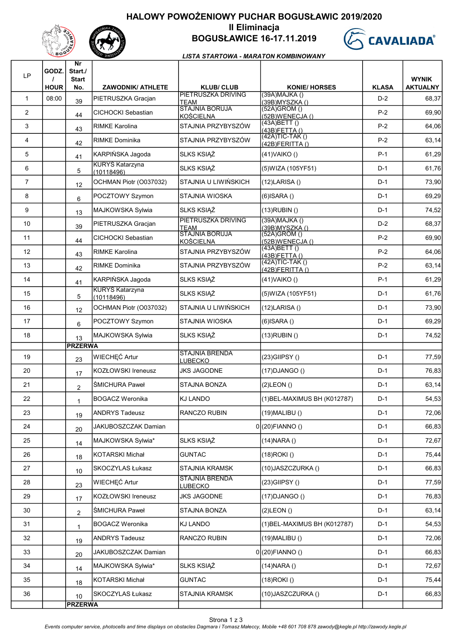## HALOWY POWOŻENIOWY PUCHAR BOGUSŁAWIC 2019/2020





### II Eliminacja BOGUSŁAWICE 16-17.11.2019



#### LISTA STARTOWA - MARATON KOMBINOWANY

| <b>LP</b>      | GODZ.<br><b>HOUR</b> | Nr<br>Start./<br><b>Start</b><br>No. | <b>ZAWODNIK/ ATHLETE</b>             | <b>KLUB/CLUB</b>                          | <b>KONIE/ HORSES</b>                     | <b>KLASA</b> | <b>WYNIK</b><br><b>AKTUALNY</b> |
|----------------|----------------------|--------------------------------------|--------------------------------------|-------------------------------------------|------------------------------------------|--------------|---------------------------------|
| $\mathbf{1}$   | 08:00                | 39                                   | PIETRUSZKA Gracjan                   | PIETRUSZKA DRIVING<br><b>TEAM</b>         | $(39A)$ MAJKA $()$<br>(39B) MYSZKA ()    | $D-2$        | 68,37                           |
| $\overline{2}$ |                      | 44                                   | CICHOCKI Sebastian                   | <b>STAJNIA BORUJA</b><br><b>KOŚCIELNA</b> | (52A)GROM ()<br>(52B)WENECJA()           | $P-2$        | 69,90                           |
| 3              |                      | 43                                   | <b>RIMKE Karolina</b>                | STAJNIA PRZYBYSZÓW                        | (43A)BETT()<br>(43B)FETTA()              | $P-2$        | 64,06                           |
| $\overline{4}$ |                      | 42                                   | <b>RIMKE Dominika</b>                | STAJNIA PRZYBYSZÓW                        | $(42A)TIC-TAK()$<br>$(42B)$ FERITTA $()$ | $P-2$        | 63,14                           |
| 5              |                      | 41                                   | KARPIŃSKA Jagoda                     | SLKS KSIĄŻ                                | $(41)$ VAIKO $()$                        | $P-1$        | 61,29                           |
| 6              |                      | 5                                    | <b>KURYS Katarzyna</b><br>(10118496) | <b>SLKS KSIĄŻ</b>                         | (5) WIZA (105 YF 51)                     | $D-1$        | 61,76                           |
| $\overline{7}$ |                      | 12                                   | OCHMAN Piotr (O037032)               | STAJNIA U LIWIŃSKICH                      | $(12)$ LARISA $()$                       | $D-1$        | 73,90                           |
| 8              |                      | 6                                    | POCZTOWY Szymon                      | STAJNIA WIOSKA                            | $(6)$ ISARA $()$                         | $D-1$        | 69,29                           |
| 9              |                      | 13                                   | MAJKOWSKA Sylwia                     | SLKS KSIĄŻ                                | $(13)$ RUBIN $()$                        | $D-1$        | 74,52                           |
| 10             |                      | 39                                   | PIETRUSZKA Gracjan                   | PIETRUSZKA DRIVING<br><b>TEAM</b>         | $(39A)$ MAJKA $()$<br>(39B) MYSZKA ()    | $D-2$        | 68,37                           |
| 11             |                      | 44                                   | CICHOCKI Sebastian                   | <b>STAJNIA BORUJA</b><br><b>KOŚCIELNA</b> | (52A)GROM ()<br>(52B)WENECJA()           | $P-2$        | 69,90                           |
| 12             |                      | 43                                   | <b>RIMKE Karolina</b>                | STAJNIA PRZYBYSZÓW                        | (43A)BETT()<br>(43B)FETTA()              | $P-2$        | 64,06                           |
| 13             |                      | 42                                   | RIMKE Dominika                       | STAJNIA PRZYBYSZÓW                        | $(42A)TIC-TAK()$<br>$(42B)$ FERITTA $()$ | $P-2$        | 63,14                           |
| 14             |                      | 41                                   | KARPIŃSKA Jagoda                     | <b>SLKS KSIAZ</b>                         | $(41)$ VAIKO $()$                        | $P-1$        | 61,29                           |
| 15             |                      | 5                                    | <b>KURYS Katarzyna</b><br>(10118496) | SLKS KSIĄŻ                                | (5) WIZA (105 YF 51)                     | $D-1$        | 61,76                           |
| 16             |                      | 12                                   | OCHMAN Piotr (O037032)               | STAJNIA U LIWIŃSKICH                      | $(12)$ LARISA $()$                       | $D-1$        | 73,90                           |
| 17             |                      | 6                                    | POCZTOWY Szymon                      | STAJNIA WIOSKA                            | $(6)$ ISARA $()$                         | $D-1$        | 69,29                           |
| 18             |                      | 13                                   | MAJKOWSKA Sylwia                     | SLKS KSIĄŻ                                | $(13)$ RUBIN $()$                        | $D-1$        | 74,52                           |
| 19             |                      | <b>PRZERWA</b><br>23                 | WIECHEĆ Artur                        | <b>STAJNIA BRENDA</b><br><b>LUBECKO</b>   | $(23)$ GIIPSY $()$                       | $D-1$        | 77,59                           |
| 20             |                      | 17                                   | <b>KOZŁOWSKI Ireneusz</b>            | <b>JKS JAGODNE</b>                        | $(17)$ DJANGO $()$                       | $D-1$        | 76,83                           |
| 21             |                      | $\overline{2}$                       | <b>ŚMICHURA Paweł</b>                | STAJNA BONZA                              | $(2)$ LEON $()$                          | $D-1$        | 63,14                           |
| 22             |                      | 1                                    | <b>BOGACZ Weronika</b>               | KJ LANDO                                  | (1) BEL-MAXIMUS BH (K012787)             | D-1          | 54,53                           |
| 23             |                      | 19                                   | <b>ANDRYS Tadeusz</b>                | RANCZO RUBIN                              | $(19)$ MALIBU $()$                       | $D-1$        | 72,06                           |
| 24             |                      | 20                                   | JAKUBOSZCZAK Damian                  |                                           | $0(20)$ FIANNO()                         | $D-1$        | 66,83                           |
| 25             |                      | 14                                   | MAJKOWSKA Sylwia*                    | <b>SLKS KSIĄŻ</b>                         | $(14)$ NARA $()$                         | $D-1$        | 72,67                           |
| 26             |                      | 18                                   | <b>KOTARSKI Michał</b>               | <b>GUNTAC</b>                             | $(18)$ ROKI $()$                         | $D-1$        | 75,44                           |
| 27             |                      | 10                                   | SKOCZYLAS Łukasz                     | <b>STAJNIA KRAMSK</b>                     | (10) JASZCZURKA ()                       | $D-1$        | 66,83                           |
| 28             |                      | 23                                   | WIECHEĆ Artur                        | <b>STAJNIA BRENDA</b><br><b>LUBECKO</b>   | $(23)$ GIIPSY $()$                       | $D-1$        | 77,59                           |
| 29             |                      | 17                                   | <b>KOZŁOWSKI Ireneusz</b>            | <b>JKS JAGODNE</b>                        | $(17)$ DJANGO $()$                       | $D-1$        | 76,83                           |
| 30             |                      | $\overline{2}$                       | ŚMICHURA Paweł                       | STAJNA BONZA                              | $(2)$ LEON $()$                          | $D-1$        | 63,14                           |
| 31             |                      | $\mathbf{1}$                         | <b>BOGACZ Weronika</b>               | <b>KJ LANDO</b>                           | (1) BEL-MAXIMUS BH (K012787)             | $D-1$        | 54,53                           |
| 32             |                      | 19                                   | <b>ANDRYS Tadeusz</b>                | RANCZO RUBIN                              | $(19)$ MALIBU $()$                       | $D-1$        | 72,06                           |
| 33             |                      | 20                                   | JAKUBOSZCZAK Damian                  |                                           | $0(20)$ FIANNO()                         | $D-1$        | 66,83                           |
| 34             |                      | 14                                   | MAJKOWSKA Sylwia*                    | <b>SLKS KSIĄŻ</b>                         | $(14)$ NARA $()$                         | $D-1$        | 72,67                           |
| 35             |                      | 18                                   | <b>KOTARSKI Michał</b>               | <b>GUNTAC</b>                             | $(18)$ ROKI $()$                         | $D-1$        | 75,44                           |
| 36             |                      | 10                                   | SKOCZYLAS Łukasz                     | <b>STAJNIA KRAMSK</b>                     | (10) JASZCZURKA ()                       | $D-1$        | 66,83                           |
|                |                      | <b>PRZERWA</b>                       |                                      |                                           |                                          |              |                                 |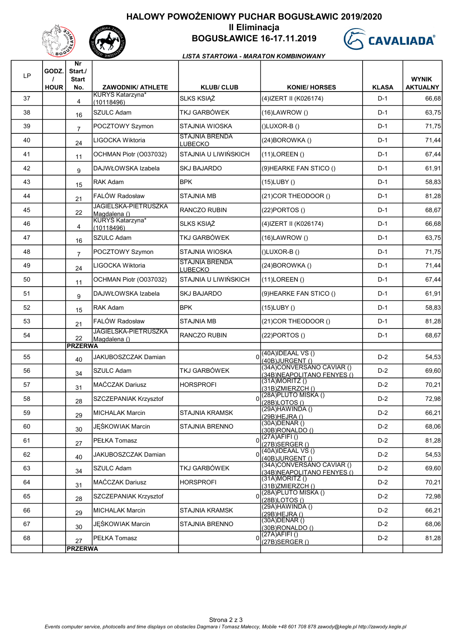# HALOWY POWOŻENIOWY PUCHAR BOGUSŁAWIC 2019/2020



## II Eliminacja BOGUSŁAWICE 16-17.11.2019



#### LISTA STARTOWA - MARATON KOMBINOWANY

| <b>LP</b> | GODZ.       | Nr<br>Start./<br><b>Start</b> |                                             |                                  |                                                          |              | <b>WYNIK</b>    |
|-----------|-------------|-------------------------------|---------------------------------------------|----------------------------------|----------------------------------------------------------|--------------|-----------------|
|           | <b>HOUR</b> | No.                           | <b>ZAWODNIK/ ATHLETE</b>                    | <b>KLUB/ CLUB</b>                | <b>KONIE/ HORSES</b>                                     | <b>KLASA</b> | <b>AKTUALNY</b> |
| 37        |             | 4                             | KURYS Katarzyna*<br>(10118496)              | SLKS KSIĄŻ                       | (4) IZERT II (K026174)                                   | $D-1$        | 66,68           |
| 38        |             | 16                            | <b>SZULC Adam</b>                           | TKJ GARBÓWEK                     | $(16)$ LAWROW $()$                                       | $D-1$        | 63,75           |
| 39        |             | $\overline{7}$                | POCZTOWY Szymon                             | STAJNIA WIOSKA                   | $(IUVOR-B I)$                                            | $D-1$        | 71,75           |
| 40        |             | 24                            | LIGOCKA Wiktoria                            | <b>STAJNIA BRENDA</b><br>LUBECKO | (24) BOROWKA ()                                          | $D-1$        | 71,44           |
| 41        |             | 11                            | OCHMAN Piotr (O037032)                      | ISTAJNIA U LIWIŃSKICH            | $(11)$ LOREEN $()$                                       | $D-1$        | 67,44           |
| 42        |             | 9                             | DAJWŁOWSKA Izabela                          | <b>SKJ BAJARDO</b>               | (9) HEARKE FAN STICO ()                                  | $D-1$        | 61,91           |
| 43        |             | 15                            | <b>RAK Adam</b>                             | <b>BPK</b>                       | $(15)$ LUBY $()$                                         | $D-1$        | 58,83           |
| 44        |             | 21                            | FALÓW Radosław                              | <b>STAJNIA MB</b>                | (21) COR THEODOOR ()                                     | $D-1$        | 81,28           |
| 45        |             | 22                            | <b>JAGIELSKA-PIETRUSZKA</b><br>Magdalena () | <b>RANCZO RUBIN</b>              | $(22)$ PORTOS $()$                                       | $D-1$        | 68,67           |
| 46        |             | 4                             | KURYS Katarzyna*<br>(10118496)              | SLKS KSIĄŻ                       | (4) IZERT II (K026174)                                   | $D-1$        | 66,68           |
| 47        |             | 16                            | <b>SZULC Adam</b>                           | TKJ GARBÓWEK                     | $(16)$ LAWROW $()$                                       | $D-1$        | 63,75           |
| 48        |             | $\overline{7}$                | POCZTOWY Szymon                             | STAJNIA WIOSKA                   | $(I)$ LUXOR-B $(I)$                                      | $D-1$        | 71,75           |
| 49        |             | 24                            | LIGOCKA Wiktoria                            | <b>STAJNIA BRENDA</b><br>LUBECKO | $(24)$ BOROWKA $()$                                      | $D-1$        | 71,44           |
| 50        |             | 11                            | OCHMAN Piotr (O037032)                      | ISTAJNIA U LIWIŃSKICH            | $(11)$ LOREEN $()$                                       | $D-1$        | 67,44           |
| 51        |             | 9                             | DAJWŁOWSKA Izabela                          | <b>SKJ BAJARDO</b>               | (9) HEARKE FAN STICO ()                                  | $D-1$        | 61,91           |
| 52        |             | 15                            | <b>RAK Adam</b>                             | <b>BPK</b>                       | $(15)$ LUBY $()$                                         | $D-1$        | 58,83           |
| 53        |             | 21                            | FALÓW Radosław                              | <b>STAJNIA MB</b>                | (21) COR THEODOOR ()                                     | $D-1$        | 81,28           |
| 54        |             | 22                            | <b>JAGIELSKA-PIETRUSZKA</b><br>Magdalena () | <b>RANCZO RUBIN</b>              | $(22)$ PORTOS $()$                                       | $D-1$        | 68,67           |
|           |             | <b>PRZERWA</b>                |                                             |                                  | $(40A)$ IDEAAL VS $()$                                   |              |                 |
| 55        |             | 40                            | JAKUBOSZCZAK Damian                         | $\Omega$                         | (40B)JURGENT ()<br>(34A)CONVERSANO CAVIAR ()             | $D-2$        | 54,53           |
| 56        |             | 34                            | SZULC Adam                                  | TKJ GARBÓWEK                     | (34B) NEAPOLITANO FENYES ()<br>$(31A)$ MORITZ $()$       | $D-2$        | 69,60           |
| 57        |             | 31                            | <b>MAĆCZAK Dariusz</b>                      | <b>HORSPROFI</b>                 | (31B)ZMIERZCH()                                          | $D-2$        | 70,21           |
| 58        |             | 28                            | SZCZEPANIAK Krzysztof                       |                                  | (28A)PLUTO MISKA ()<br>(28B)LOTOS()                      | $D-2$        | 72,98           |
| 59        |             | 29                            | <b>MICHALAK Marcin</b>                      | STAJNIA KRAMSK                   | $(29A)$ HAWINDA $()$<br>(29B) HEJRA ()                   | $D-2$        | 66,21           |
| 60        |             | 30                            | JĘŚKOWIAK Marcin                            | STAJNIA BRENNO                   | $(30A)$ DENAR $()$<br>(30B)RONALDO()                     | $D-2$        | 68,06           |
| 61        |             | 27                            | PEŁKA Tomasz                                |                                  | $(27A)$ AFIFI()<br>(27B) SERGER ()                       | $D-2$        | 81,28           |
| 62        |             | 40                            | JAKUBOSZCZAK Damian                         |                                  | $(40A)$ IDEAAL VS $()$<br>(40B)JURGENT()                 | $D-2$        | 54,53           |
| 63        |             | 34                            | SZULC Adam                                  | TKJ GARBÓWEK                     | (34A)CONVERSANO CAVIAR ()<br>(34B) NEAPOLITANO FENYES () | $D-2$        | 69,60           |
| 64        |             | 31                            | <b>MAĆCZAK Dariusz</b>                      | <b>HORSPROFI</b>                 | $(31A)$ MORITZ $()$<br>(31B)ZMIERZCH()                   | $D-2$        | 70,21           |
| 65        |             | 28                            | SZCZEPANIAK Krzysztof                       |                                  | (28A) PLUTO MISKA ()<br>(28B)LOTOS()                     | $D-2$        | 72,98           |
| 66        |             | 29                            | <b>MICHALAK Marcin</b>                      | <b>STAJNIA KRAMSK</b>            | (29A)HAWINDA ()<br>(29B) HEJRA ()                        | $D-2$        | 66,21           |
| 67        |             | 30                            | JĘŚKOWIAK Marcin                            | STAJNIA BRENNO                   | $(30A)$ DENAR $()$<br>(30B)RONALDO()                     | $D-2$        | 68,06           |
| 68        |             | 27                            | PEŁKA Tomasz                                |                                  | (27A)AFIFI ()<br>$(27B)$ SERGER $()$                     | $D-2$        | 81,28           |
|           |             | <b>PRZERWA</b>                |                                             |                                  |                                                          |              |                 |